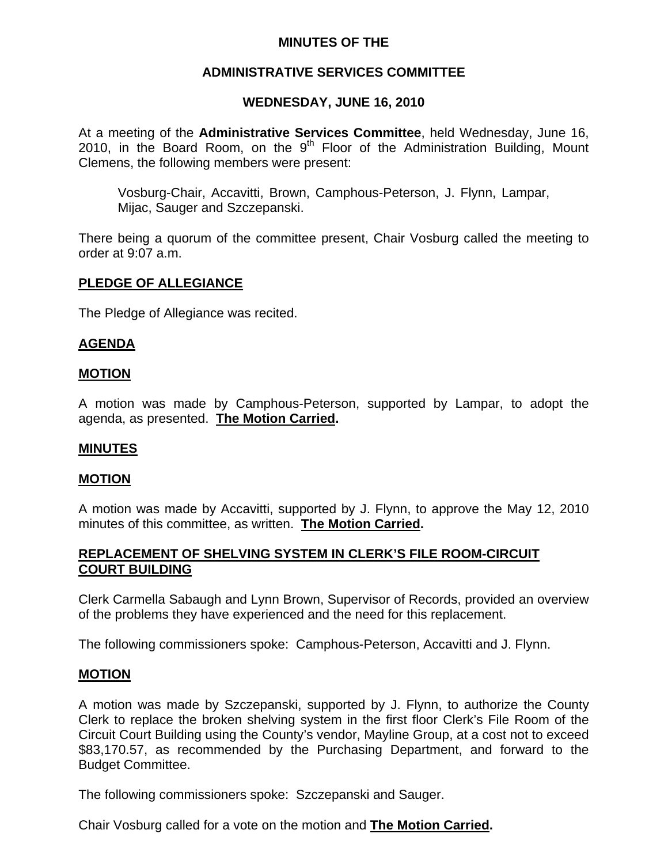## **MINUTES OF THE**

## **ADMINISTRATIVE SERVICES COMMITTEE**

## **WEDNESDAY, JUNE 16, 2010**

At a meeting of the **Administrative Services Committee**, held Wednesday, June 16, 2010, in the Board Room, on the  $9<sup>th</sup>$  Floor of the Administration Building, Mount Clemens, the following members were present:

Vosburg-Chair, Accavitti, Brown, Camphous-Peterson, J. Flynn, Lampar, Mijac, Sauger and Szczepanski.

There being a quorum of the committee present, Chair Vosburg called the meeting to order at 9:07 a.m.

## **PLEDGE OF ALLEGIANCE**

The Pledge of Allegiance was recited.

#### **AGENDA**

#### **MOTION**

A motion was made by Camphous-Peterson, supported by Lampar, to adopt the agenda, as presented. **The Motion Carried.** 

#### **MINUTES**

#### **MOTION**

A motion was made by Accavitti, supported by J. Flynn, to approve the May 12, 2010 minutes of this committee, as written. **The Motion Carried.** 

#### **REPLACEMENT OF SHELVING SYSTEM IN CLERK'S FILE ROOM-CIRCUIT COURT BUILDING**

Clerk Carmella Sabaugh and Lynn Brown, Supervisor of Records, provided an overview of the problems they have experienced and the need for this replacement.

The following commissioners spoke: Camphous-Peterson, Accavitti and J. Flynn.

#### **MOTION**

A motion was made by Szczepanski, supported by J. Flynn, to authorize the County Clerk to replace the broken shelving system in the first floor Clerk's File Room of the Circuit Court Building using the County's vendor, Mayline Group, at a cost not to exceed \$83,170.57, as recommended by the Purchasing Department, and forward to the Budget Committee.

The following commissioners spoke: Szczepanski and Sauger.

Chair Vosburg called for a vote on the motion and **The Motion Carried.**